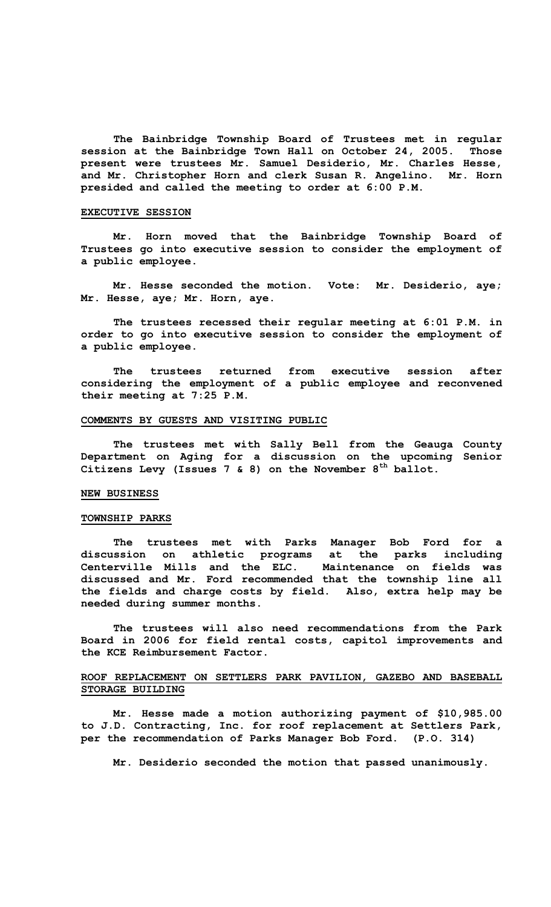**The Bainbridge Township Board of Trustees met in regular session at the Bainbridge Town Hall on October 24, 2005. Those present were trustees Mr. Samuel Desiderio, Mr. Charles Hesse, and Mr. Christopher Horn and clerk Susan R. Angelino. Mr. Horn presided and called the meeting to order at 6:00 P.M.** 

### **EXECUTIVE SESSION**

**Mr. Horn moved that the Bainbridge Township Board of Trustees go into executive session to consider the employment of a public employee.** 

 **Mr. Hesse seconded the motion. Vote: Mr. Desiderio, aye; Mr. Hesse, aye; Mr. Horn, aye.** 

**The trustees recessed their regular meeting at 6:01 P.M. in order to go into executive session to consider the employment of a public employee.** 

 **The trustees returned from executive session after considering the employment of a public employee and reconvened their meeting at 7:25 P.M.** 

### **COMMENTS BY GUESTS AND VISITING PUBLIC**

 **The trustees met with Sally Bell from the Geauga County Department on Aging for a discussion on the upcoming Senior Citizens Levy (Issues 7 & 8) on the November 8th ballot.** 

## **NEW BUSINESS**

### **TOWNSHIP PARKS**

 **The trustees met with Parks Manager Bob Ford for a discussion on athletic programs at the parks including Centerville Mills and the ELC. Maintenance on fields was discussed and Mr. Ford recommended that the township line all the fields and charge costs by field. Also, extra help may be needed during summer months.** 

 **The trustees will also need recommendations from the Park Board in 2006 for field rental costs, capitol improvements and the KCE Reimbursement Factor.** 

## **ROOF REPLACEMENT ON SETTLERS PARK PAVILION, GAZEBO AND BASEBALL STORAGE BUILDING**

 **Mr. Hesse made a motion authorizing payment of \$10,985.00 to J.D. Contracting, Inc. for roof replacement at Settlers Park, per the recommendation of Parks Manager Bob Ford. (P.O. 314)** 

**Mr. Desiderio seconded the motion that passed unanimously.**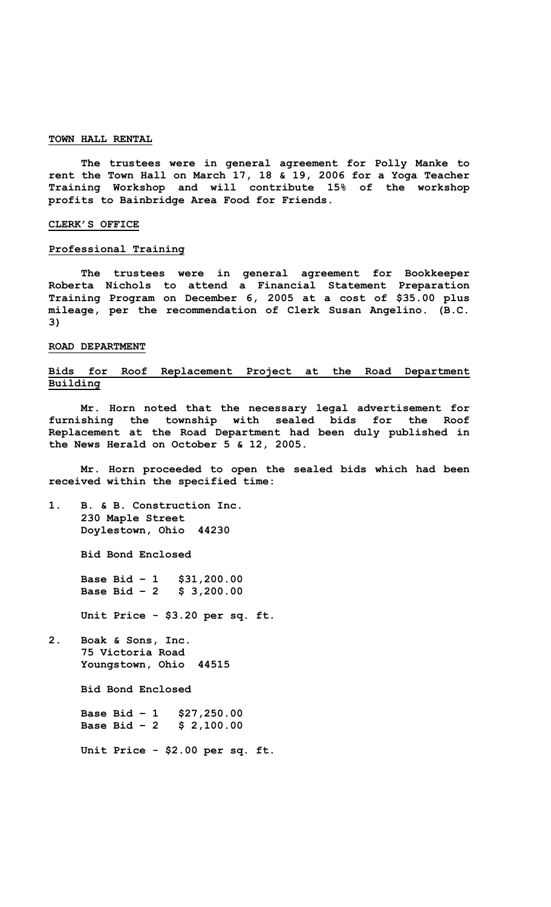#### **TOWN HALL RENTAL**

 **The trustees were in general agreement for Polly Manke to rent the Town Hall on March 17, 18 & 19, 2006 for a Yoga Teacher Training Workshop and will contribute 15% of the workshop profits to Bainbridge Area Food for Friends.** 

## **CLERK'S OFFICE**

### **Professional Training**

 **The trustees were in general agreement for Bookkeeper Roberta Nichols to attend a Financial Statement Preparation Training Program on December 6, 2005 at a cost of \$35.00 plus mileage, per the recommendation of Clerk Susan Angelino. (B.C. 3)** 

#### **ROAD DEPARTMENT**

## **Bids for Roof Replacement Project at the Road Department Building**

 **Mr. Horn noted that the necessary legal advertisement for furnishing the township with sealed bids for the Roof Replacement at the Road Department had been duly published in the News Herald on October 5 & 12, 2005.** 

 **Mr. Horn proceeded to open the sealed bids which had been received within the specified time:** 

**1. B. & B. Construction Inc. 230 Maple Street Doylestown, Ohio 44230** 

**Bid Bond Enclosed** 

**Base Bid – 1 \$31,200.00 Base Bid – 2 \$ 3,200.00** 

 **Unit Price - \$3.20 per sq. ft.** 

**2. Boak & Sons, Inc. 75 Victoria Road Youngstown, Ohio 44515** 

**Bid Bond Enclosed** 

**Base Bid – 1 \$27,250.00 Base Bid – 2 \$ 2,100.00** 

**Unit Price - \$2.00 per sq. ft.**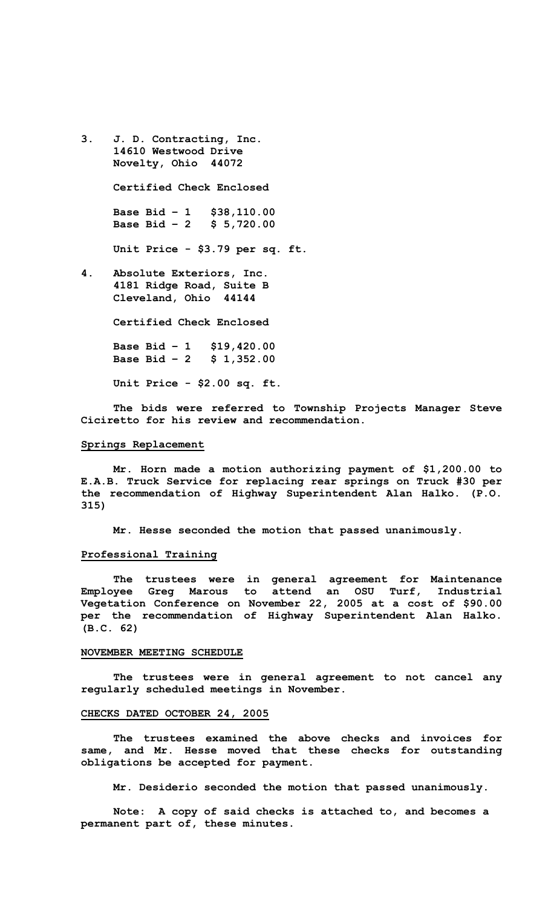- **3. J. D. Contracting, Inc. 14610 Westwood Drive Novelty, Ohio 44072 Certified Check Enclosed Base Bid – 1 \$38,110.00 Base Bid – 2 \$ 5,720.00 Unit Price - \$3.79 per sq. ft.**
- **4. Absolute Exteriors, Inc. 4181 Ridge Road, Suite B Cleveland, Ohio 44144**

**Certified Check Enclosed** 

**Base Bid – 1 \$19,420.00 Base Bid – 2 \$ 1,352.00** 

**Unit Price - \$2.00 sq. ft.** 

 **The bids were referred to Township Projects Manager Steve Ciciretto for his review and recommendation.** 

## **Springs Replacement**

 **Mr. Horn made a motion authorizing payment of \$1,200.00 to E.A.B. Truck Service for replacing rear springs on Truck #30 per the recommendation of Highway Superintendent Alan Halko. (P.O. 315)** 

**Mr. Hesse seconded the motion that passed unanimously.** 

### **Professional Training**

 **The trustees were in general agreement for Maintenance Employee Greg Marous to attend an OSU Turf, Industrial Vegetation Conference on November 22, 2005 at a cost of \$90.00 per the recommendation of Highway Superintendent Alan Halko. (B.C. 62)** 

#### **NOVEMBER MEETING SCHEDULE**

 **The trustees were in general agreement to not cancel any regularly scheduled meetings in November.** 

# **CHECKS DATED OCTOBER 24, 2005**

 **The trustees examined the above checks and invoices for same, and Mr. Hesse moved that these checks for outstanding obligations be accepted for payment.** 

**Mr. Desiderio seconded the motion that passed unanimously.** 

**Note: A copy of said checks is attached to, and becomes a permanent part of, these minutes.**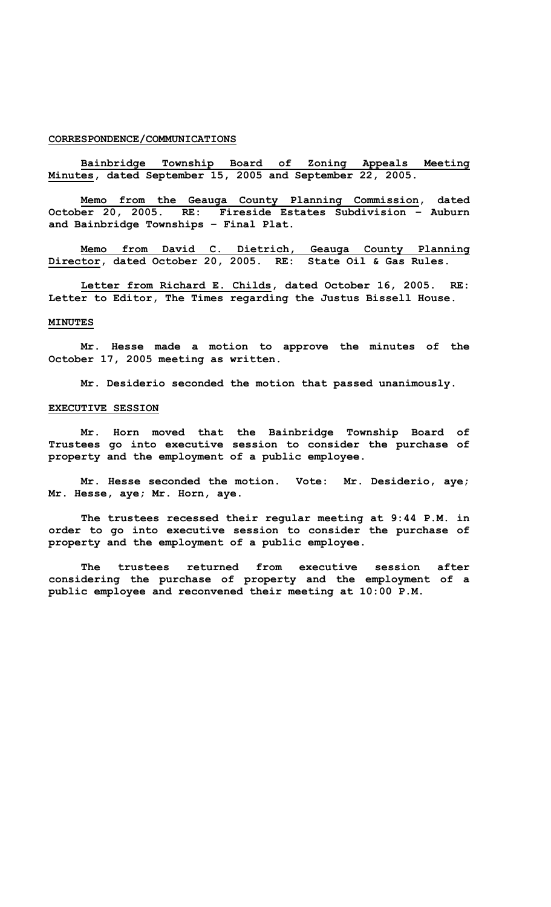### **CORRESPONDENCE/COMMUNICATIONS**

**Bainbridge Township Board of Zoning Appeals Meeting Minutes, dated September 15, 2005 and September 22, 2005.** 

**Memo from the Geauga County Planning Commission, dated October 20, 2005. RE: Fireside Estates Subdivision – Auburn and Bainbridge Townships – Final Plat.** 

**Memo from David C. Dietrich, Geauga County Planning Director, dated October 20, 2005. RE: State Oil & Gas Rules.** 

**Letter from Richard E. Childs, dated October 16, 2005. RE: Letter to Editor, The Times regarding the Justus Bissell House.** 

## **MINUTES**

 **Mr. Hesse made a motion to approve the minutes of the October 17, 2005 meeting as written.** 

**Mr. Desiderio seconded the motion that passed unanimously.** 

#### **EXECUTIVE SESSION**

**Mr. Horn moved that the Bainbridge Township Board of Trustees go into executive session to consider the purchase of property and the employment of a public employee.** 

 **Mr. Hesse seconded the motion. Vote: Mr. Desiderio, aye; Mr. Hesse, aye; Mr. Horn, aye.** 

**The trustees recessed their regular meeting at 9:44 P.M. in order to go into executive session to consider the purchase of property and the employment of a public employee.** 

 **The trustees returned from executive session after considering the purchase of property and the employment of a public employee and reconvened their meeting at 10:00 P.M.**